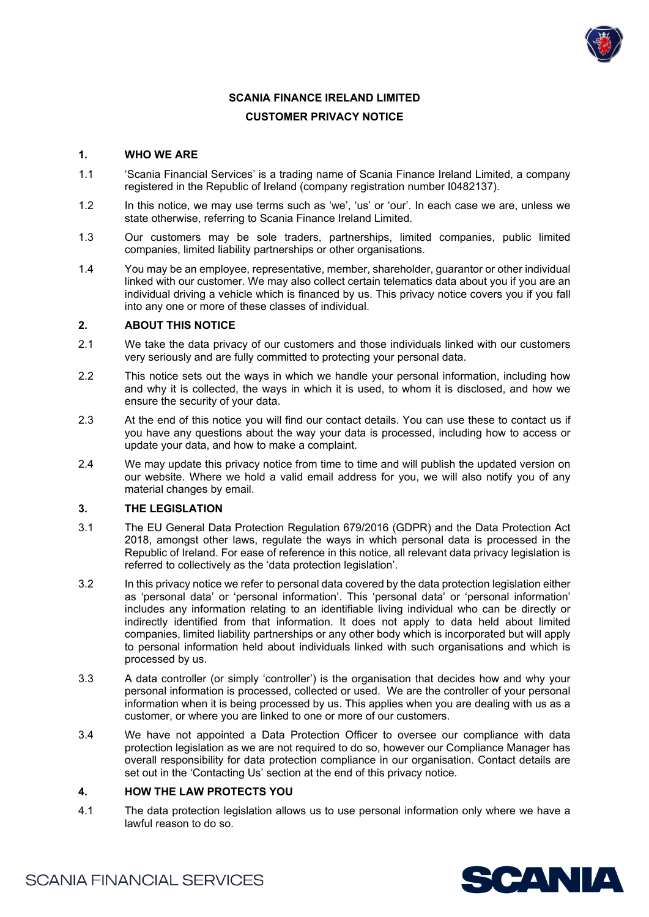

# **SCANIA FINANCE IRELAND LIMITED CUSTOMER PRIVACY NOTICE**

## **1. WHO WE ARE**

- 1.1 'Scania Financial Services' is a trading name of Scania Finance Ireland Limited, a company registered in the Republic of Ireland (company registration number I0482137).
- 1.2 In this notice, we may use terms such as 'we', 'us' or 'our'. In each case we are, unless we state otherwise, referring to Scania Finance Ireland Limited.
- 1.3 Our customers may be sole traders, partnerships, limited companies, public limited companies, limited liability partnerships or other organisations.
- 1.4 You may be an employee, representative, member, shareholder, guarantor or other individual linked with our customer. We may also collect certain telematics data about you if you are an individual driving a vehicle which is financed by us. This privacy notice covers you if you fall into any one or more of these classes of individual.

#### **2. ABOUT THIS NOTICE**

- 2.1 We take the data privacy of our customers and those individuals linked with our customers very seriously and are fully committed to protecting your personal data.
- 2.2 This notice sets out the ways in which we handle your personal information, including how and why it is collected, the ways in which it is used, to whom it is disclosed, and how we ensure the security of your data.
- 2.3 At the end of this notice you will find our contact details. You can use these to contact us if you have any questions about the way your data is processed, including how to access or update your data, and how to make a complaint.
- 2.4 We may update this privacy notice from time to time and will publish the updated version on our website. Where we hold a valid email address for you, we will also notify you of any material changes by email.

#### **3. THE LEGISLATION**

- 3.1 The EU General Data Protection Regulation 679/2016 (GDPR) and the Data Protection Act 2018, amongst other laws, regulate the ways in which personal data is processed in the Republic of Ireland. For ease of reference in this notice, all relevant data privacy legislation is referred to collectively as the 'data protection legislation'.
- 3.2 In this privacy notice we refer to personal data covered by the data protection legislation either as 'personal data' or 'personal information'. This 'personal data' or 'personal information' includes any information relating to an identifiable living individual who can be directly or indirectly identified from that information. It does not apply to data held about limited companies, limited liability partnerships or any other body which is incorporated but will apply to personal information held about individuals linked with such organisations and which is processed by us.
- 3.3 A data controller (or simply 'controller') is the organisation that decides how and why your personal information is processed, collected or used. We are the controller of your personal information when it is being processed by us. This applies when you are dealing with us as a customer, or where you are linked to one or more of our customers.
- 3.4 We have not appointed a Data Protection Officer to oversee our compliance with data protection legislation as we are not required to do so, however our Compliance Manager has overall responsibility for data protection compliance in our organisation. Contact details are set out in the 'Contacting Us' section at the end of this privacy notice.

#### **4. HOW THE LAW PROTECTS YOU**

4.1 The data protection legislation allows us to use personal information only where we have a lawful reason to do so.

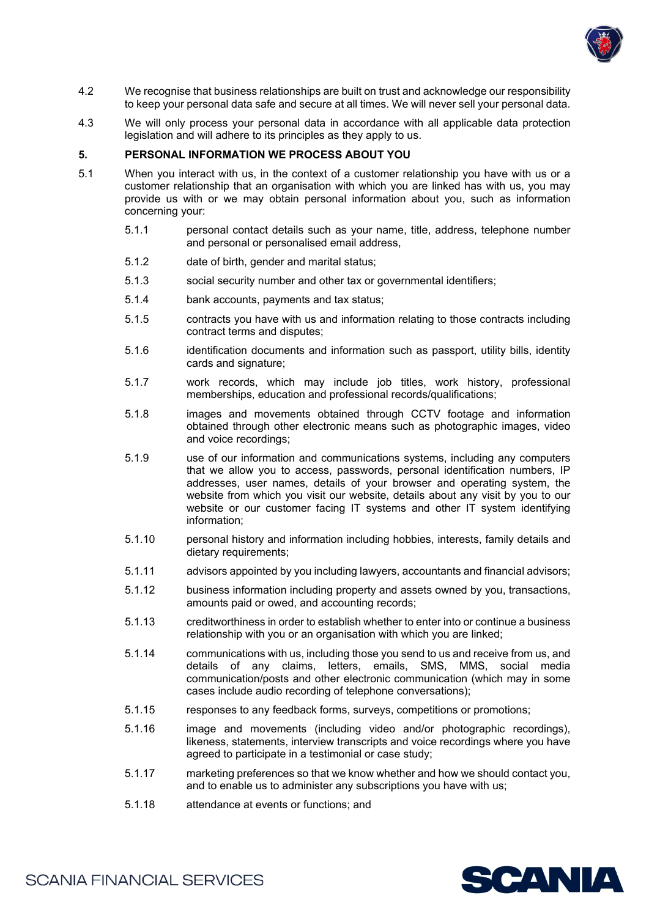

- 4.2 We recognise that business relationships are built on trust and acknowledge our responsibility to keep your personal data safe and secure at all times. We will never sell your personal data.
- 4.3 We will only process your personal data in accordance with all applicable data protection legislation and will adhere to its principles as they apply to us.

#### **5. PERSONAL INFORMATION WE PROCESS ABOUT YOU**

- 5.1 When you interact with us, in the context of a customer relationship you have with us or a customer relationship that an organisation with which you are linked has with us, you may provide us with or we may obtain personal information about you, such as information concerning your:
	- 5.1.1 personal contact details such as your name, title, address, telephone number and personal or personalised email address,
	- 5.1.2 date of birth, gender and marital status;
	- 5.1.3 social security number and other tax or governmental identifiers;
	- 5.1.4 bank accounts, payments and tax status;
	- 5.1.5 contracts you have with us and information relating to those contracts including contract terms and disputes;
	- 5.1.6 identification documents and information such as passport, utility bills, identity cards and signature;
	- 5.1.7 work records, which may include job titles, work history, professional memberships, education and professional records/qualifications;
	- 5.1.8 images and movements obtained through CCTV footage and information obtained through other electronic means such as photographic images, video and voice recordings;
	- 5.1.9 use of our information and communications systems, including any computers that we allow you to access, passwords, personal identification numbers, IP addresses, user names, details of your browser and operating system, the website from which you visit our website, details about any visit by you to our website or our customer facing IT systems and other IT system identifying information;
	- 5.1.10 personal history and information including hobbies, interests, family details and dietary requirements;
	- 5.1.11 advisors appointed by you including lawyers, accountants and financial advisors;
	- 5.1.12 business information including property and assets owned by you, transactions, amounts paid or owed, and accounting records;
	- 5.1.13 creditworthiness in order to establish whether to enter into or continue a business relationship with you or an organisation with which you are linked;
	- 5.1.14 communications with us, including those you send to us and receive from us, and details of any claims, letters, emails, SMS, MMS, social media communication/posts and other electronic communication (which may in some cases include audio recording of telephone conversations);
	- 5.1.15 responses to any feedback forms, surveys, competitions or promotions;
	- 5.1.16 image and movements (including video and/or photographic recordings), likeness, statements, interview transcripts and voice recordings where you have agreed to participate in a testimonial or case study;
	- 5.1.17 marketing preferences so that we know whether and how we should contact you, and to enable us to administer any subscriptions you have with us;
	- 5.1.18 attendance at events or functions; and

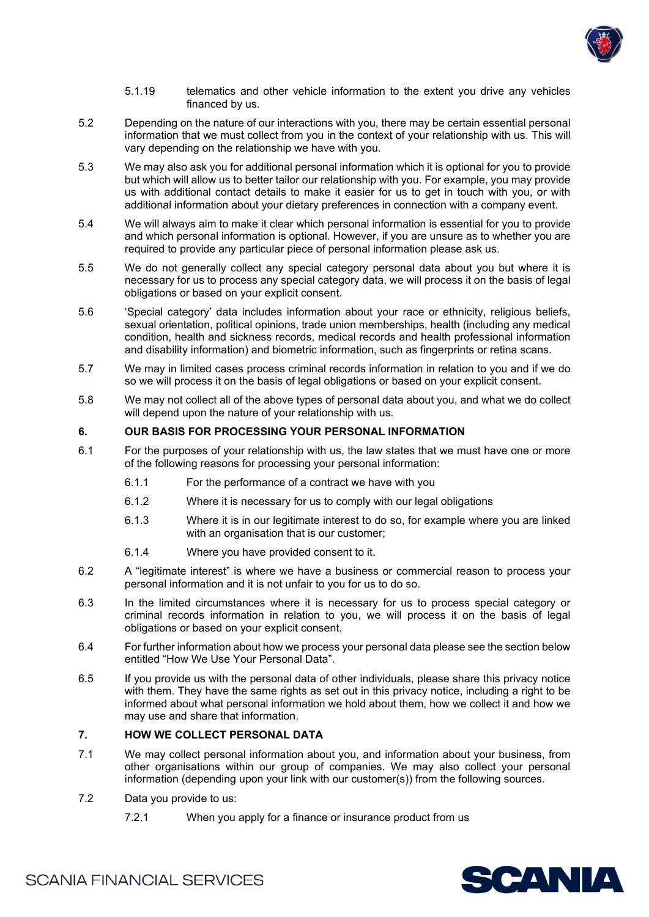

- 5.1.19 telematics and other vehicle information to the extent you drive any vehicles financed by us.
- 5.2 Depending on the nature of our interactions with you, there may be certain essential personal information that we must collect from you in the context of your relationship with us. This will vary depending on the relationship we have with you.
- 5.3 We may also ask you for additional personal information which it is optional for you to provide but which will allow us to better tailor our relationship with you. For example, you may provide us with additional contact details to make it easier for us to get in touch with you, or with additional information about your dietary preferences in connection with a company event.
- 5.4 We will always aim to make it clear which personal information is essential for you to provide and which personal information is optional. However, if you are unsure as to whether you are required to provide any particular piece of personal information please ask us.
- 5.5 We do not generally collect any special category personal data about you but where it is necessary for us to process any special category data, we will process it on the basis of legal obligations or based on your explicit consent.
- 5.6 'Special category' data includes information about your race or ethnicity, religious beliefs, sexual orientation, political opinions, trade union memberships, health (including any medical condition, health and sickness records, medical records and health professional information and disability information) and biometric information, such as fingerprints or retina scans.
- 5.7 We may in limited cases process criminal records information in relation to you and if we do so we will process it on the basis of legal obligations or based on your explicit consent.
- 5.8 We may not collect all of the above types of personal data about you, and what we do collect will depend upon the nature of your relationship with us.

#### **6. OUR BASIS FOR PROCESSING YOUR PERSONAL INFORMATION**

- 6.1 For the purposes of your relationship with us, the law states that we must have one or more of the following reasons for processing your personal information:
	- 6.1.1 For the performance of a contract we have with you
	- 6.1.2 Where it is necessary for us to comply with our legal obligations
	- 6.1.3 Where it is in our legitimate interest to do so, for example where you are linked with an organisation that is our customer;
	- 6.1.4 Where you have provided consent to it.
- 6.2 A "legitimate interest" is where we have a business or commercial reason to process your personal information and it is not unfair to you for us to do so.
- 6.3 In the limited circumstances where it is necessary for us to process special category or criminal records information in relation to you, we will process it on the basis of legal obligations or based on your explicit consent.
- 6.4 For further information about how we process your personal data please see the section below entitled "How We Use Your Personal Data".
- 6.5 If you provide us with the personal data of other individuals, please share this privacy notice with them. They have the same rights as set out in this privacy notice, including a right to be informed about what personal information we hold about them, how we collect it and how we may use and share that information.

# **7. HOW WE COLLECT PERSONAL DATA**

- 7.1 We may collect personal information about you, and information about your business, from other organisations within our group of companies. We may also collect your personal information (depending upon your link with our customer(s)) from the following sources.
- 7.2 Data you provide to us:
	- 7.2.1 When you apply for a finance or insurance product from us

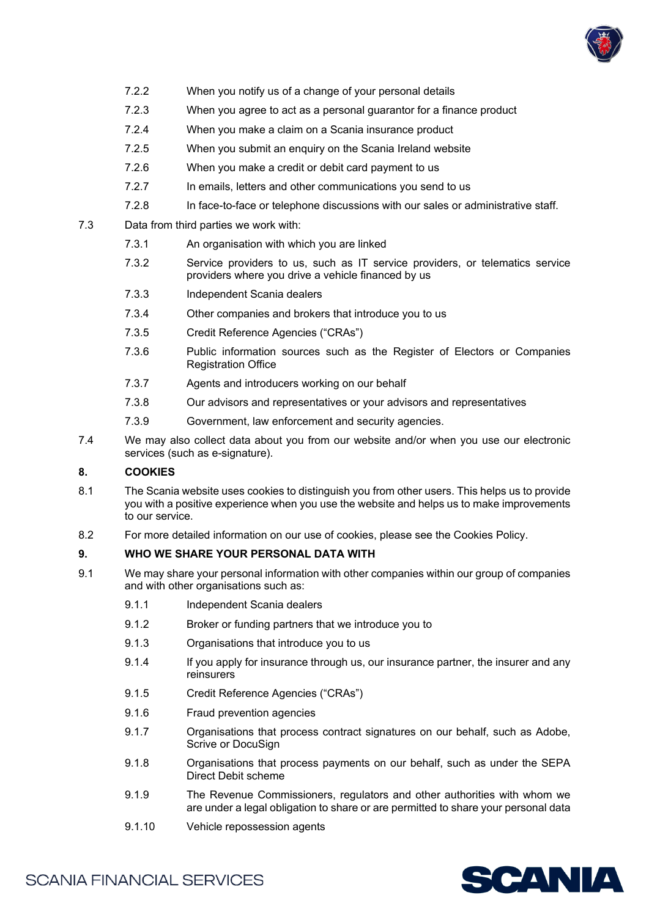

- 7.2.2 When you notify us of a change of your personal details
- 7.2.3 When you agree to act as a personal guarantor for a finance product
- 7.2.4 When you make a claim on a Scania insurance product
- 7.2.5 When you submit an enquiry on the Scania Ireland website
- 7.2.6 When you make a credit or debit card payment to us
- 7.2.7 In emails, letters and other communications you send to us
- 7.2.8 In face-to-face or telephone discussions with our sales or administrative staff.
- 7.3 Data from third parties we work with:
	- 7.3.1 An organisation with which you are linked
	- 7.3.2 Service providers to us, such as IT service providers, or telematics service providers where you drive a vehicle financed by us
	- 7.3.3 Independent Scania dealers
	- 7.3.4 Other companies and brokers that introduce you to us
	- 7.3.5 Credit Reference Agencies ("CRAs")
	- 7.3.6 Public information sources such as the Register of Electors or Companies Registration Office
	- 7.3.7 Agents and introducers working on our behalf
	- 7.3.8 Our advisors and representatives or your advisors and representatives
	- 7.3.9 Government, law enforcement and security agencies.
- 7.4 We may also collect data about you from our website and/or when you use our electronic services (such as e-signature).

# **8. COOKIES**

- 8.1 The Scania website uses cookies to distinguish you from other users. This helps us to provide you with a positive experience when you use the website and helps us to make improvements to our service.
- 8.2 For more detailed information on our use of cookies, please see the Cookies Policy.

#### **9. WHO WE SHARE YOUR PERSONAL DATA WITH**

- 9.1 We may share your personal information with other companies within our group of companies and with other organisations such as:
	- 9.1.1 Independent Scania dealers
	- 9.1.2 Broker or funding partners that we introduce you to
	- 9.1.3 Organisations that introduce you to us
	- 9.1.4 If you apply for insurance through us, our insurance partner, the insurer and any reinsurers
	- 9.1.5 Credit Reference Agencies ("CRAs")
	- 9.1.6 Fraud prevention agencies
	- 9.1.7 Organisations that process contract signatures on our behalf, such as Adobe, Scrive or DocuSign
	- 9.1.8 Organisations that process payments on our behalf, such as under the SEPA Direct Debit scheme
	- 9.1.9 The Revenue Commissioners, regulators and other authorities with whom we are under a legal obligation to share or are permitted to share your personal data
	- 9.1.10 Vehicle repossession agents

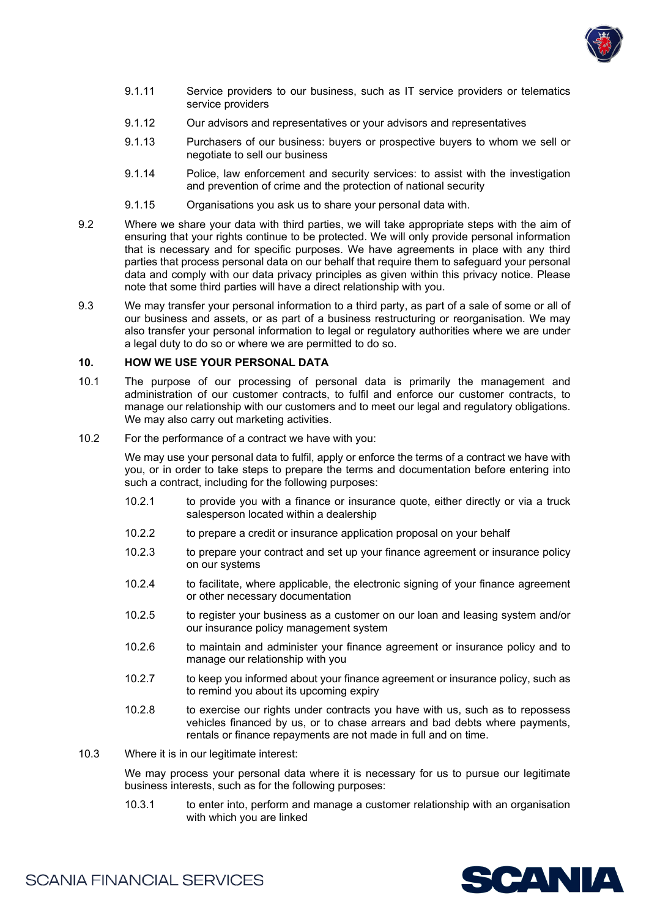

- 9.1.11 Service providers to our business, such as IT service providers or telematics service providers
- 9.1.12 Our advisors and representatives or your advisors and representatives
- 9.1.13 Purchasers of our business: buyers or prospective buyers to whom we sell or negotiate to sell our business
- 9.1.14 Police, law enforcement and security services: to assist with the investigation and prevention of crime and the protection of national security
- 9.1.15 Organisations you ask us to share your personal data with.
- 9.2 Where we share your data with third parties, we will take appropriate steps with the aim of ensuring that your rights continue to be protected. We will only provide personal information that is necessary and for specific purposes. We have agreements in place with any third parties that process personal data on our behalf that require them to safeguard your personal data and comply with our data privacy principles as given within this privacy notice. Please note that some third parties will have a direct relationship with you.
- 9.3 We may transfer your personal information to a third party, as part of a sale of some or all of our business and assets, or as part of a business restructuring or reorganisation. We may also transfer your personal information to legal or regulatory authorities where we are under a legal duty to do so or where we are permitted to do so.

#### **10. HOW WE USE YOUR PERSONAL DATA**

- 10.1 The purpose of our processing of personal data is primarily the management and administration of our customer contracts, to fulfil and enforce our customer contracts, to manage our relationship with our customers and to meet our legal and regulatory obligations. We may also carry out marketing activities.
- 10.2 For the performance of a contract we have with you:

We may use your personal data to fulfil, apply or enforce the terms of a contract we have with you, or in order to take steps to prepare the terms and documentation before entering into such a contract, including for the following purposes:

- 10.2.1 to provide you with a finance or insurance quote, either directly or via a truck salesperson located within a dealership
- 10.2.2 to prepare a credit or insurance application proposal on your behalf
- 10.2.3 to prepare your contract and set up your finance agreement or insurance policy on our systems
- 10.2.4 to facilitate, where applicable, the electronic signing of your finance agreement or other necessary documentation
- 10.2.5 to register your business as a customer on our loan and leasing system and/or our insurance policy management system
- 10.2.6 to maintain and administer your finance agreement or insurance policy and to manage our relationship with you
- 10.2.7 to keep you informed about your finance agreement or insurance policy, such as to remind you about its upcoming expiry
- 10.2.8 to exercise our rights under contracts you have with us, such as to repossess vehicles financed by us, or to chase arrears and bad debts where payments, rentals or finance repayments are not made in full and on time.
- 10.3 Where it is in our legitimate interest:

We may process your personal data where it is necessary for us to pursue our legitimate business interests, such as for the following purposes:

10.3.1 to enter into, perform and manage a customer relationship with an organisation with which you are linked

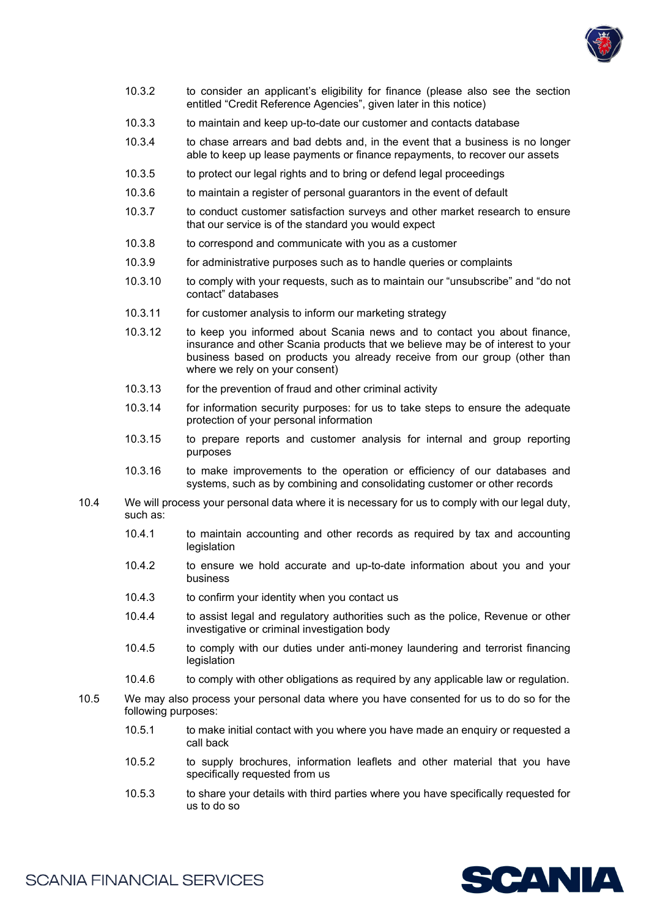

- 10.3.2 to consider an applicant's eligibility for finance (please also see the section entitled "Credit Reference Agencies", given later in this notice)
- 10.3.3 to maintain and keep up-to-date our customer and contacts database
- 10.3.4 to chase arrears and bad debts and, in the event that a business is no longer able to keep up lease payments or finance repayments, to recover our assets
- 10.3.5 to protect our legal rights and to bring or defend legal proceedings
- 10.3.6 to maintain a register of personal guarantors in the event of default
- 10.3.7 to conduct customer satisfaction surveys and other market research to ensure that our service is of the standard you would expect
- 10.3.8 to correspond and communicate with you as a customer
- 10.3.9 for administrative purposes such as to handle queries or complaints
- 10.3.10 to comply with your requests, such as to maintain our "unsubscribe" and "do not contact" databases
- 10.3.11 for customer analysis to inform our marketing strategy
- 10.3.12 to keep you informed about Scania news and to contact you about finance, insurance and other Scania products that we believe may be of interest to your business based on products you already receive from our group (other than where we rely on your consent)
- 10.3.13 for the prevention of fraud and other criminal activity
- 10.3.14 for information security purposes: for us to take steps to ensure the adequate protection of your personal information
- 10.3.15 to prepare reports and customer analysis for internal and group reporting purposes
- 10.3.16 to make improvements to the operation or efficiency of our databases and systems, such as by combining and consolidating customer or other records
- 10.4 We will process your personal data where it is necessary for us to comply with our legal duty, such as:
	- 10.4.1 to maintain accounting and other records as required by tax and accounting legislation
	- 10.4.2 to ensure we hold accurate and up-to-date information about you and your business
	- 10.4.3 to confirm your identity when you contact us
	- 10.4.4 to assist legal and regulatory authorities such as the police, Revenue or other investigative or criminal investigation body
	- 10.4.5 to comply with our duties under anti-money laundering and terrorist financing legislation
	- 10.4.6 to comply with other obligations as required by any applicable law or regulation.
- 10.5 We may also process your personal data where you have consented for us to do so for the following purposes:
	- 10.5.1 to make initial contact with you where you have made an enquiry or requested a call back
	- 10.5.2 to supply brochures, information leaflets and other material that you have specifically requested from us
	- 10.5.3 to share your details with third parties where you have specifically requested for us to do so

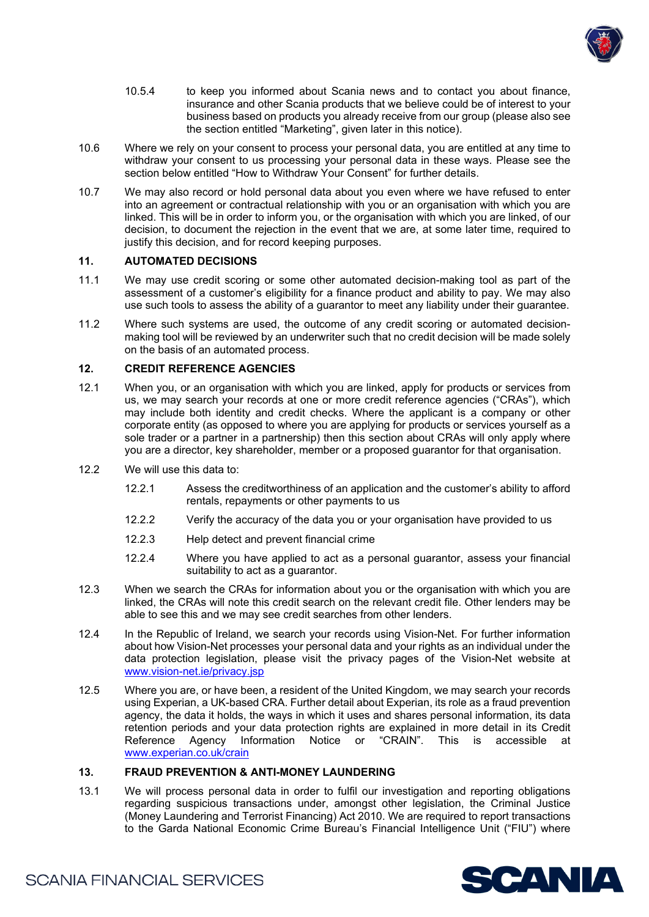

- 10.5.4 to keep you informed about Scania news and to contact you about finance, insurance and other Scania products that we believe could be of interest to your business based on products you already receive from our group (please also see the section entitled "Marketing", given later in this notice).
- 10.6 Where we rely on your consent to process your personal data, you are entitled at any time to withdraw your consent to us processing your personal data in these ways. Please see the section below entitled "How to Withdraw Your Consent" for further details.
- 10.7 We may also record or hold personal data about you even where we have refused to enter into an agreement or contractual relationship with you or an organisation with which you are linked. This will be in order to inform you, or the organisation with which you are linked, of our decision, to document the rejection in the event that we are, at some later time, required to justify this decision, and for record keeping purposes.

#### **11. AUTOMATED DECISIONS**

- 11.1 We may use credit scoring or some other automated decision-making tool as part of the assessment of a customer's eligibility for a finance product and ability to pay. We may also use such tools to assess the ability of a guarantor to meet any liability under their guarantee.
- 11.2 Where such systems are used, the outcome of any credit scoring or automated decisionmaking tool will be reviewed by an underwriter such that no credit decision will be made solely on the basis of an automated process.

#### **12. CREDIT REFERENCE AGENCIES**

- 12.1 When you, or an organisation with which you are linked, apply for products or services from us, we may search your records at one or more credit reference agencies ("CRAs"), which may include both identity and credit checks. Where the applicant is a company or other corporate entity (as opposed to where you are applying for products or services yourself as a sole trader or a partner in a partnership) then this section about CRAs will only apply where you are a director, key shareholder, member or a proposed guarantor for that organisation.
- 12.2 We will use this data to:
	- 12.2.1 Assess the creditworthiness of an application and the customer's ability to afford rentals, repayments or other payments to us
	- 12.2.2 Verify the accuracy of the data you or your organisation have provided to us
	- 12.2.3 Help detect and prevent financial crime
	- 12.2.4 Where you have applied to act as a personal guarantor, assess your financial suitability to act as a guarantor.
- 12.3 When we search the CRAs for information about you or the organisation with which you are linked, the CRAs will note this credit search on the relevant credit file. Other lenders may be able to see this and we may see credit searches from other lenders.
- 12.4 In the Republic of Ireland, we search your records using Vision-Net. For further information about how Vision-Net processes your personal data and your rights as an individual under the data protection legislation, please visit the privacy pages of the Vision-Net website at [www.vision-net.ie/privacy.jsp](http://www.vision-net.ie/privacy.jsp)
- 12.5 Where you are, or have been, a resident of the United Kingdom, we may search your records using Experian, a UK-based CRA. Further detail about Experian, its role as a fraud prevention agency, the data it holds, the ways in which it uses and shares personal information, its data retention periods and your data protection rights are explained in more detail in its Credit Reference Agency Information Notice or "CRAIN". This is accessible at [www.experian.co.uk/crain](http://www.experian.co.uk/crain)

# **13. FRAUD PREVENTION & ANTI-MONEY LAUNDERING**

13.1 We will process personal data in order to fulfil our investigation and reporting obligations regarding suspicious transactions under, amongst other legislation, the Criminal Justice (Money Laundering and Terrorist Financing) Act 2010. We are required to report transactions to the Garda National Economic Crime Bureau's Financial Intelligence Unit ("FIU") where

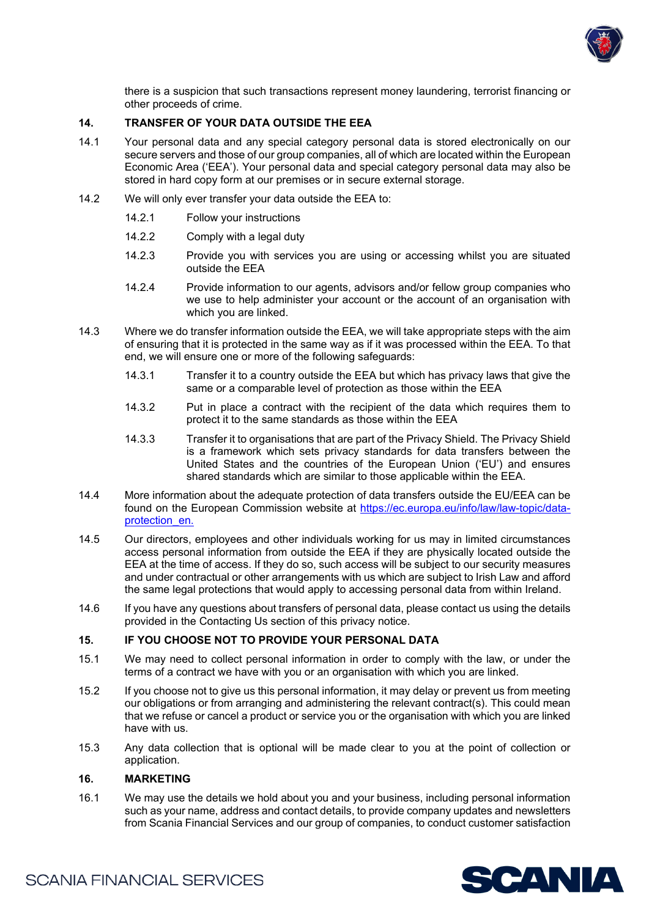

there is a suspicion that such transactions represent money laundering, terrorist financing or other proceeds of crime.

#### **14. TRANSFER OF YOUR DATA OUTSIDE THE EEA**

- 14.1 Your personal data and any special category personal data is stored electronically on our secure servers and those of our group companies, all of which are located within the European Economic Area ('EEA'). Your personal data and special category personal data may also be stored in hard copy form at our premises or in secure external storage.
- 14.2 We will only ever transfer your data outside the EEA to:
	- 14.2.1 Follow your instructions
	- 14.2.2 Comply with a legal duty
	- 14.2.3 Provide you with services you are using or accessing whilst you are situated outside the EEA
	- 14.2.4 Provide information to our agents, advisors and/or fellow group companies who we use to help administer your account or the account of an organisation with which you are linked.
- 14.3 Where we do transfer information outside the EEA, we will take appropriate steps with the aim of ensuring that it is protected in the same way as if it was processed within the EEA. To that end, we will ensure one or more of the following safeguards:
	- 14.3.1 Transfer it to a country outside the EEA but which has privacy laws that give the same or a comparable level of protection as those within the EEA
	- 14.3.2 Put in place a contract with the recipient of the data which requires them to protect it to the same standards as those within the EEA
	- 14.3.3 Transfer it to organisations that are part of the Privacy Shield. The Privacy Shield is a framework which sets privacy standards for data transfers between the United States and the countries of the European Union ('EU') and ensures shared standards which are similar to those applicable within the EEA.
- 14.4 More information about the adequate protection of data transfers outside the EU/EEA can be found on the European Commission website at [https://ec.europa.eu/info/law/law-topic/data](https://ec.europa.eu/info/law/law-topic/data-protection_en.)[protection\\_en.](https://ec.europa.eu/info/law/law-topic/data-protection_en.)
- 14.5 Our directors, employees and other individuals working for us may in limited circumstances access personal information from outside the EEA if they are physically located outside the EEA at the time of access. If they do so, such access will be subject to our security measures and under contractual or other arrangements with us which are subject to Irish Law and afford the same legal protections that would apply to accessing personal data from within Ireland.
- 14.6 If you have any questions about transfers of personal data, please contact us using the details provided in the Contacting Us section of this privacy notice.

#### **15. IF YOU CHOOSE NOT TO PROVIDE YOUR PERSONAL DATA**

- 15.1 We may need to collect personal information in order to comply with the law, or under the terms of a contract we have with you or an organisation with which you are linked.
- 15.2 If you choose not to give us this personal information, it may delay or prevent us from meeting our obligations or from arranging and administering the relevant contract(s). This could mean that we refuse or cancel a product or service you or the organisation with which you are linked have with us.
- 15.3 Any data collection that is optional will be made clear to you at the point of collection or application.

#### **16. MARKETING**

16.1 We may use the details we hold about you and your business, including personal information such as your name, address and contact details, to provide company updates and newsletters from Scania Financial Services and our group of companies, to conduct customer satisfaction

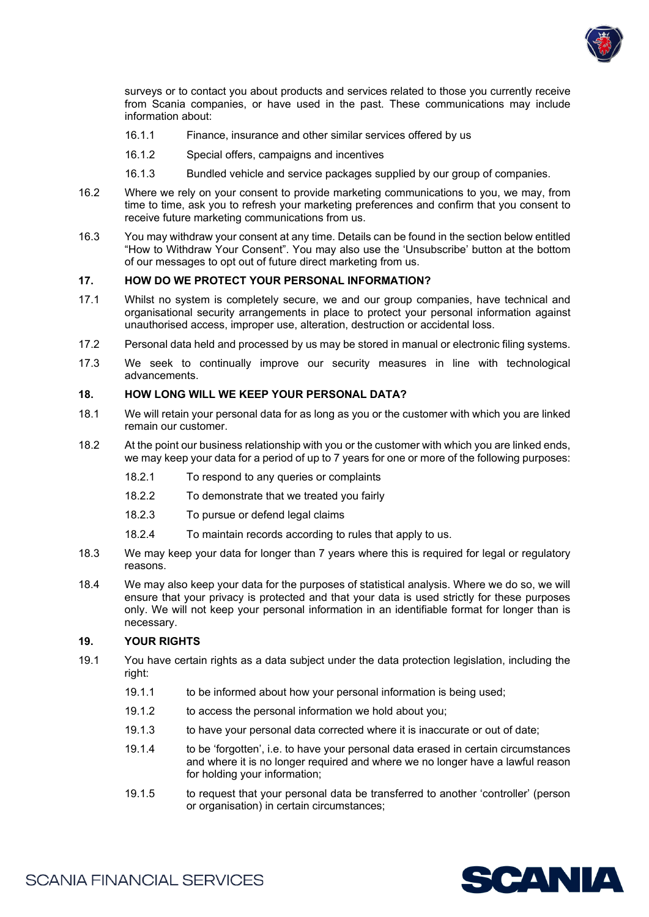

surveys or to contact you about products and services related to those you currently receive from Scania companies, or have used in the past. These communications may include information about:

- 16.1.1 Finance, insurance and other similar services offered by us
- 16.1.2 Special offers, campaigns and incentives
- 16.1.3 Bundled vehicle and service packages supplied by our group of companies.
- 16.2 Where we rely on your consent to provide marketing communications to you, we may, from time to time, ask you to refresh your marketing preferences and confirm that you consent to receive future marketing communications from us.
- 16.3 You may withdraw your consent at any time. Details can be found in the section below entitled "How to Withdraw Your Consent". You may also use the 'Unsubscribe' button at the bottom of our messages to opt out of future direct marketing from us.

# **17. HOW DO WE PROTECT YOUR PERSONAL INFORMATION?**

- 17.1 Whilst no system is completely secure, we and our group companies, have technical and organisational security arrangements in place to protect your personal information against unauthorised access, improper use, alteration, destruction or accidental loss.
- 17.2 Personal data held and processed by us may be stored in manual or electronic filing systems.
- 17.3 We seek to continually improve our security measures in line with technological advancements.

#### **18. HOW LONG WILL WE KEEP YOUR PERSONAL DATA?**

- 18.1 We will retain your personal data for as long as you or the customer with which you are linked remain our customer.
- 18.2 At the point our business relationship with you or the customer with which you are linked ends, we may keep your data for a period of up to 7 years for one or more of the following purposes:
	- 18.2.1 To respond to any queries or complaints
	- 18.2.2 To demonstrate that we treated you fairly
	- 18.2.3 To pursue or defend legal claims
	- 18.2.4 To maintain records according to rules that apply to us.
- 18.3 We may keep your data for longer than 7 years where this is required for legal or regulatory reasons.
- 18.4 We may also keep your data for the purposes of statistical analysis. Where we do so, we will ensure that your privacy is protected and that your data is used strictly for these purposes only. We will not keep your personal information in an identifiable format for longer than is necessary.

#### **19. YOUR RIGHTS**

- 19.1 You have certain rights as a data subject under the data protection legislation, including the right:
	- 19.1.1 to be informed about how your personal information is being used;
	- 19.1.2 to access the personal information we hold about you;
	- 19.1.3 to have your personal data corrected where it is inaccurate or out of date;
	- 19.1.4 to be 'forgotten', i.e. to have your personal data erased in certain circumstances and where it is no longer required and where we no longer have a lawful reason for holding your information;
	- 19.1.5 to request that your personal data be transferred to another 'controller' (person or organisation) in certain circumstances;

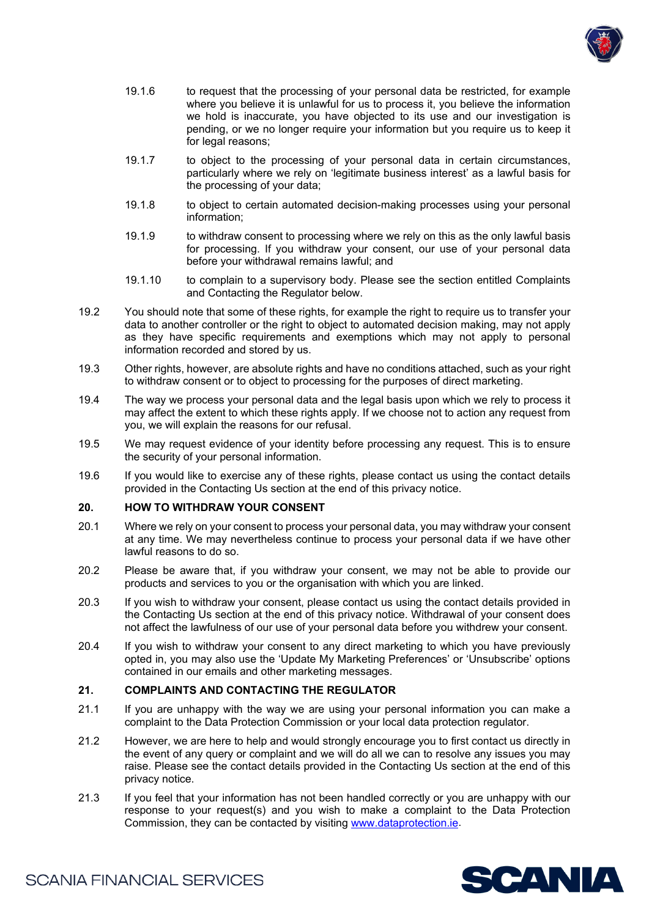

- 19.1.6 to request that the processing of your personal data be restricted, for example where you believe it is unlawful for us to process it, you believe the information we hold is inaccurate, you have objected to its use and our investigation is pending, or we no longer require your information but you require us to keep it for legal reasons;
- 19.1.7 to object to the processing of your personal data in certain circumstances, particularly where we rely on 'legitimate business interest' as a lawful basis for the processing of your data;
- 19.1.8 to object to certain automated decision-making processes using your personal information;
- 19.1.9 to withdraw consent to processing where we rely on this as the only lawful basis for processing. If you withdraw your consent, our use of your personal data before your withdrawal remains lawful; and
- 19.1.10 to complain to a supervisory body. Please see the section entitled Complaints and Contacting the Regulator below.
- 19.2 You should note that some of these rights, for example the right to require us to transfer your data to another controller or the right to object to automated decision making, may not apply as they have specific requirements and exemptions which may not apply to personal information recorded and stored by us.
- 19.3 Other rights, however, are absolute rights and have no conditions attached, such as your right to withdraw consent or to object to processing for the purposes of direct marketing.
- 19.4 The way we process your personal data and the legal basis upon which we rely to process it may affect the extent to which these rights apply. If we choose not to action any request from you, we will explain the reasons for our refusal.
- 19.5 We may request evidence of your identity before processing any request. This is to ensure the security of your personal information.
- 19.6 If you would like to exercise any of these rights, please contact us using the contact details provided in the Contacting Us section at the end of this privacy notice.

#### **20. HOW TO WITHDRAW YOUR CONSENT**

- 20.1 Where we rely on your consent to process your personal data, you may withdraw your consent at any time. We may nevertheless continue to process your personal data if we have other lawful reasons to do so.
- 20.2 Please be aware that, if you withdraw your consent, we may not be able to provide our products and services to you or the organisation with which you are linked.
- 20.3 If you wish to withdraw your consent, please contact us using the contact details provided in the Contacting Us section at the end of this privacy notice. Withdrawal of your consent does not affect the lawfulness of our use of your personal data before you withdrew your consent.
- 20.4 If you wish to withdraw your consent to any direct marketing to which you have previously opted in, you may also use the 'Update My Marketing Preferences' or 'Unsubscribe' options contained in our emails and other marketing messages.

# **21. COMPLAINTS AND CONTACTING THE REGULATOR**

- 21.1 If you are unhappy with the way we are using your personal information you can make a complaint to the Data Protection Commission or your local data protection regulator.
- 21.2 However, we are here to help and would strongly encourage you to first contact us directly in the event of any query or complaint and we will do all we can to resolve any issues you may raise. Please see the contact details provided in the Contacting Us section at the end of this privacy notice.
- 21.3 If you feel that your information has not been handled correctly or you are unhappy with our response to your request(s) and you wish to make a complaint to the Data Protection Commission, they can be contacted by visiting [www.dataprotection.ie.](http://www.dataprotection.ie/)